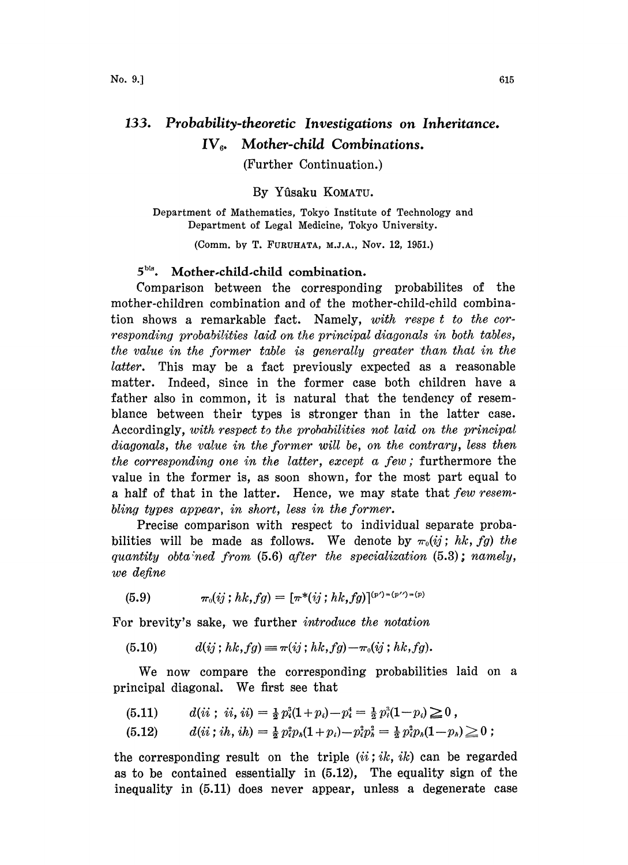## 133. Probability-theoretic Investigations on Inheritance.  $IV<sub>6</sub>$ . Mother-child Combinations.

(Further Continuation.)

By Yfisaku KOMATU.

Department of Mathematics, Tokyo institute of Technology and Department of Legal Medicine, Tokyo University.

(Comm. by T. FURUHATA, M.J.A., Nov. 12, 1951.)

## 5<sup>bis</sup>. Mother-child-child combination.

Comparison between the corresponding probabilites of the mother-children combination and of the mother-child-child combination shows a remarkable fact. Namely, with respe <sup>t</sup> to the corresponding probabilities laid on the principal diagonals in both tables, the value in the former table is generally greater than that in the latter. This may be a fact previously expected as a reasonable matter. Indeed, since in the former case both children have a father also in common, it is natural that the tendency of resemblance between their types is stronger than in the latter case. Accordingly, with respect to the probabilities not laid on the principal diagonals, the value in the former will be, on the contrary, less then the corresponding one in the latter, except  $a$  few; furthermore the value in the former is, as soon shown, for the most part equal to <sup>a</sup> half of that in the latter. Hence, we may state that few resembling types appear, in short, less in the former.

Precise comparison with respect to individual separate probabilities will be made as follows. We denote by  $\pi_0(ij; hk, fg)$  the quantity obtained from  $(5.6)$  after the specialization  $(5.3)$ ; namely, we define

$$
(5.9) \t\t \pi_0(ij; hk, fg) = [\pi^*(ij; hk, fg)]^{(p') = (p'') = (p')}
$$

For brevity's sake, we further *introduce the notation* 

(5.10) 
$$
d(ij; hk, fg) \equiv \pi(ij; hk, fg) - \pi_0(ij; hk, fg).
$$

We now compare the corresponding probabilities laid on <sup>a</sup> principal diagonal. We first see that

$$
(5.11) \qquad d(ii\ ;\ ii\mathbf{,}ii)=\tfrac{1}{2}p_i^3(1+p_i)-p_i^4=\tfrac{1}{2}p_i^3(1-p_i)\geq 0\ ,
$$

$$
(5.12) \t d(ii; ih, ih) = \frac{1}{2} p_i^2 p_h (1+p_i) - p_i^2 p_h^2 = \frac{1}{2} p_i^2 p_h (1-p_h) \geq 0 ;
$$

the corresponding result on the triple  $(ii;ik, ik)$  can be regarded as to be contained essentially in (5.12), The equality sign of the inequality in (5.11) does never appear, unless a degenerate case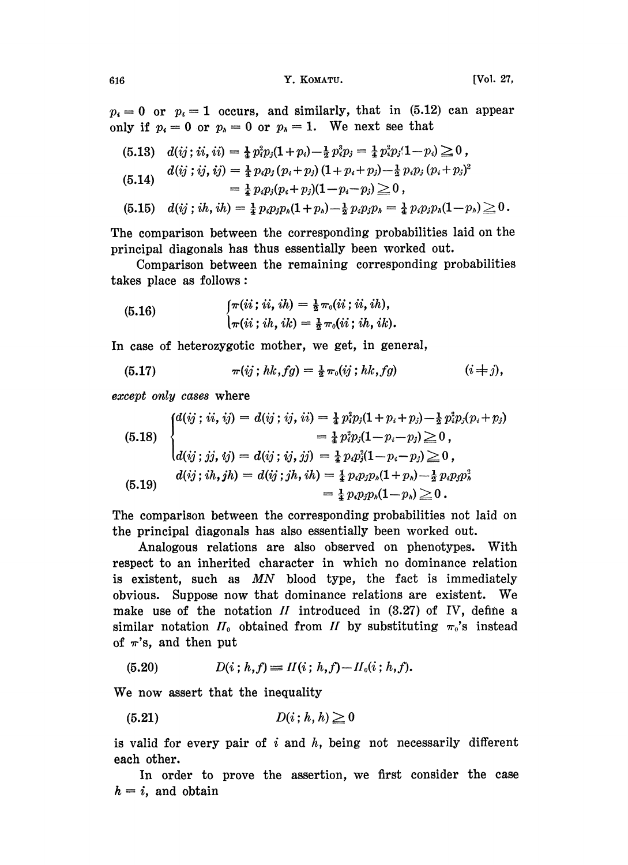$p_i=0$  or  $p_i=1$  occurs, and similarly, that in (5.12) can appear only if  $p_i=0$  or  $p_i=0$  or  $p_i=1$ . We next see that

(5.13) 
$$
d(ij; ii, ii) = \frac{1}{4} p_i^3 p_j (1 + p_i) - \frac{1}{2} p_i^3 p_j = \frac{1}{4} p_i^2 p_j (1 - p_i) \ge 0,
$$
  
\n
$$
d(ij; ij, ij) = \frac{1}{4} p_i p_j (p_i + p_j) (1 + p_i + p_j) - \frac{1}{2} p_i p_j (p_i + p_j)^2
$$
  
\n
$$
= \frac{1}{4} p_i p_j (p_i + p_j) (1 - p_i - p_j) \ge 0,
$$
  
\n(5.15) 
$$
d(ij; ih, ih) = \frac{1}{4} p_i p_j p_h (1 + p_h) - \frac{1}{2} p_i p_j p_h = \frac{1}{4} p_i p_j p_h (1 - p_h) \ge 0.
$$

The comparison between the corresponding probabilities laid on the principal diagonals has thus essentially been worked out.

Comparison between the remaining corresponding probabilities takes place as follows:

(5.16) 
$$
\begin{cases} \pi(ii; ii, ih) = \frac{1}{2} \pi_0(ii; ii, ih), \\ \pi(ii; ih, ik) = \frac{1}{2} \pi_0(ii; ih, ik). \end{cases}
$$

In case of heterozygotic mother, we get, in general,

(5.17) 
$$
\pi(ij; hk, fg) = \frac{1}{2} \pi_0(ij; hk, fg) \qquad (i \neq j),
$$

except only cases where

(5.18)  
\n
$$
\begin{cases}\nd(ij; ii, ij) = d(ij; ij, ii) = \frac{1}{4} p_i^3 p_j (1 + p_i + p_j) - \frac{1}{2} p_i^3 p_j (p_i + p_j) \\
= \frac{1}{4} p_i^3 p_j (1 - p_i - p_j) \ge 0, \\
d(ij; jj, ij) = d(ij; ij, jj) = \frac{1}{4} p_i p_j^3 (1 - p_i - p_j) \ge 0, \\
d(ij; ih, jh) = d(ij; jh, ih) = \frac{1}{4} p_i p_j p_h (1 + p_h) - \frac{1}{2} p_i p_j p_h^3 \\
= \frac{1}{4} p_i p_j p_h (1 - p_h) \ge 0.\n\end{cases}
$$

The comparison between the corresponding probabilities not laid on the principal diagonals has also essentially been worked out.

Analogous relations are also observed on phenotypes. With respect to an inherited character in which no dominance relation is existent, such as MN blood type, the fact is immediately obvious. Suppose now that dominance relations are existent. We make use of the notation  $II$  introduced in  $(3.27)$  of IV, define a similar notation  $H_0$  obtained from H by substituting  $\pi_0$ 's instead of  $\pi$ 's, and then put

$$
(5.20) \tD(i; h, f) \equiv II(i; h, f) - II_0(i; h, f).
$$

We now assert that the inequality

$$
(5.21) \t\t D(i; h, h) \ge 0
$$

is valid for every pair of  $i$  and  $h$ , being not necessarily different each other.

In order to prove the assertion, we first consider the case  $h = i$ , and obtain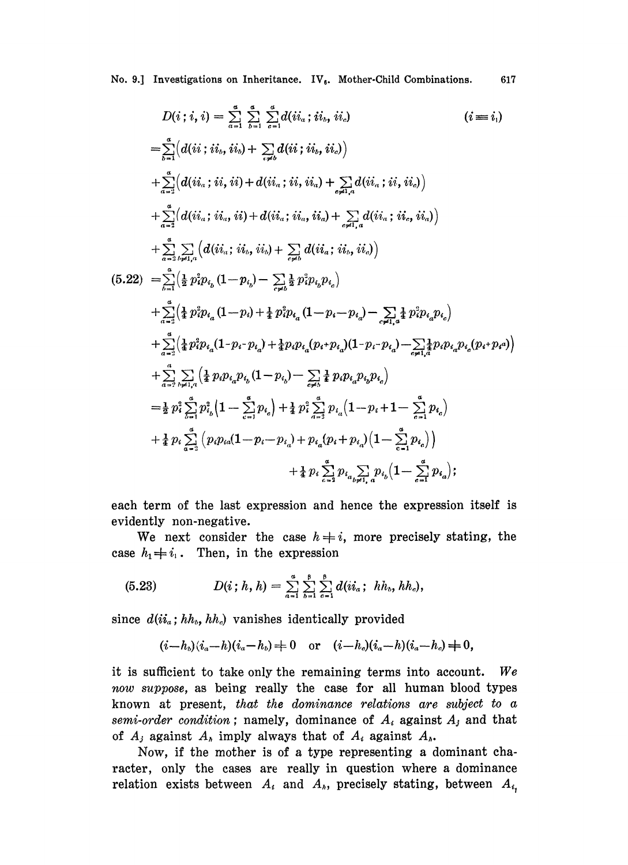No. 9.] Investigations on Inheritance. IV<sub>6</sub>. Mother-Child Combinations. 617

$$
D(i; i, i) = \sum_{a=1}^{a} \sum_{b=1}^{a} \sum_{c=1}^{a} d(ii_{a}; ii_{b}, ii_{d}) \qquad (i = i_{1})
$$
\n
$$
= \sum_{b=1}^{a} (d(ii; i_{b}, ii_{b}) + \sum_{c \neq b} d(ii; ii_{b}, ii_{c})
$$
\n
$$
+ \sum_{a=2}^{a} (d(ii_{a}; ii, ii, ii) + d(ii_{a}; ii, ii_{a}) + \sum_{c \neq b} d(ii_{a}; ii, ii_{c})
$$
\n
$$
+ \sum_{a=2}^{a} (d(ii_{a}; ii_{b}, ii) + d(ii_{a}; ii_{b}, ii_{a}) + \sum_{c \neq b} d(ii_{a}; ii_{c}, ii_{b})
$$
\n
$$
+ \sum_{a=2}^{a} \sum_{b \neq 1, a} (d(ii_{a}; ii_{b}, ii_{b}) + \sum_{c \neq b} d(ii_{a}; ii_{b}, ii_{c})
$$
\n
$$
(5.22) = \sum_{b=1}^{a} (\frac{1}{2} p_{i}^{2} p_{i_{b}} (1 - p_{i_{b}}) - \sum_{c \neq b}^{a} \frac{1}{2} p_{i}^{2} p_{i_{b}} p_{i_{c}})
$$
\n
$$
+ \sum_{a=2}^{a} (\frac{1}{2} p_{i}^{2} p_{i_{a}} (1 - p_{i}) + \frac{1}{2} p_{i}^{2} p_{i_{a}} (1 - p_{i} - p_{i_{a}}) - \sum_{c \neq 1, a}^{a} \frac{1}{2} p_{i}^{2} p_{i_{a}} p_{i_{c}})
$$
\n
$$
+ \sum_{a=2}^{a} (\frac{1}{2} p_{i}^{2} p_{i_{a}} (1 - p_{i}) + \frac{1}{2} p_{i}^{2} p_{i_{a}} (1 - p_{i} - p_{i_{a}}) - \sum_{c \neq 1, a}^{a} \frac{1}{2} p_{i}^{2} p_{i_{a}} p_{i_{c}})
$$
\n
$$
+ \sum_{a=2}^{a} (\frac{1}{2} p_{i}^{2} p_{i_{a}} (1 - p_{i_{a}}) - \sum_{c \neq 1}^{a} \frac{1}{2} p_{i}^{2} p_{i_{a}} p_{i_{a}}
$$

each term of the last expression and hence the expression itself is evidently non-negative.

We next consider the case  $h \neq i$ , more precisely stating, the case  $h_1 \neq i_1$ . Then, in the expression

(5.23) 
$$
D(i; h, h) = \sum_{a=1}^{a} \sum_{b=1}^{b} \sum_{c=1}^{b} d(ii_a; hh_b, hh_c),
$$

since  $d(ii_a; hh_b, hh_c)$  vanishes identically provided

$$
(i-hb)(ia-h)(ia-hb) \neq 0
$$
 or  $(i-hc)(ia-h)(ia-hc) \neq 0$ ,

it is sufficient to take only the remaining terms into account. We now suppose, as being really the case for all human blood types known at present, that the dominance relations are subject to a semi-order condition; namely, dominance of  $A_i$  against  $A_j$  and that of  $A_j$  against  $A_k$  imply always that of  $A_i$  against  $A_k$ .

Now, if the mother is of a type representing a dominant character, only the cases are really in question where a dominance relation exists between  $A_i$  and  $A_j$ , precisely stating, between  $A_{i_j}$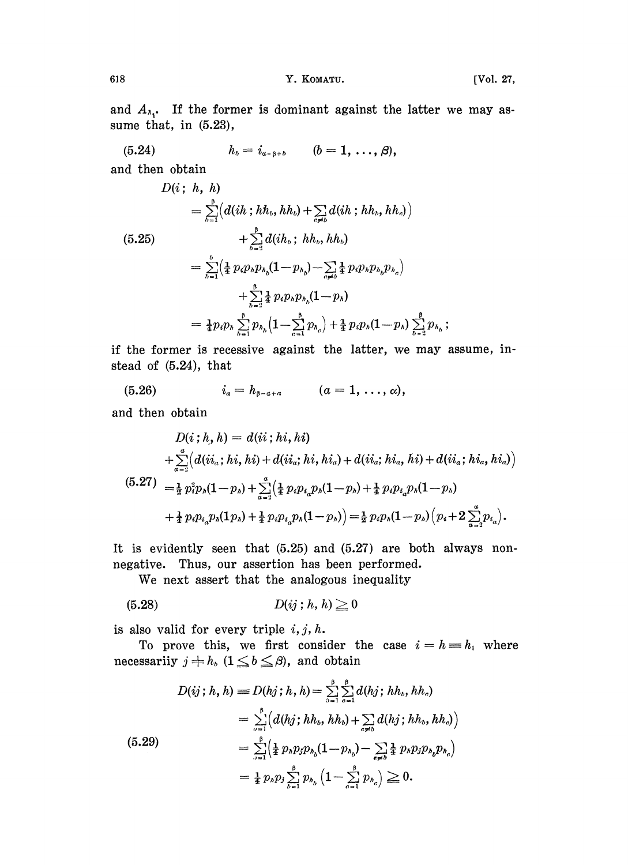$\vdots$ 

and  $A_{\lambda_1}$ . If the former is dominant against the latter we may assume that, in  $(5.23)$ ,

$$
(5.24) \t\t\t h_b = i_{a-\beta+b} \t (b=1,\ldots,\beta),
$$

and then obtain

$$
D(i; h, h)
$$
\n
$$
= \sum_{b=1}^{8} (d(ih; hh_b, hh_b) + \sum_{c \neq b} d(ih; hh_b, hh_c))
$$
\n(5.25)\n
$$
+ \sum_{b=3}^{8} d(ih_b; hh_b, hh_b)
$$
\n
$$
= \sum_{b=1}^{b} (\frac{1}{4} p_i p_h p_{h_b} (1 - p_{h_b}) - \sum_{c \neq b} \frac{1}{4} p_i p_h p_{h_b} p_{h_c})
$$
\n
$$
+ \sum_{b=3}^{8} \frac{1}{4} p_i p_h p_{h_b} (1 - p_h)
$$
\n
$$
= \frac{1}{4} p_i p_h \sum_{b=1}^{8} p_{h_b} (1 - \sum_{c=1}^{8} p_{h_c}) + \frac{1}{4} p_i p_h (1 - p_h) \sum_{b=2}^{8} p_{h_b}
$$

if the former is recessive against the latter, we may assume, instead of  $(5.24)$ , that

$$
(5.26) \t\t\t i_a = h_{\beta-a+a} \t (a = 1, \ldots, \alpha),
$$

and then obtain

$$
D(i; h, h) = d(ii; hi, hi)
$$
  
+  $\sum_{a=2}^{a} (d(ii_{a}; hi, hi) + d(ii_{a}; hi, hi_{a}) + d(ii_{a}; hi, hi, hi) + d(ii_{a}; hi, hi_{a})$   
(5.27) =  $\frac{1}{2} p_i^2 p_h (1-p_h) + \sum_{a=2}^{a} (\frac{1}{4} p_i p_{i_a} p_h (1-p_h) + \frac{1}{4} p_i p_{i_a} p_h (1-p_h)$   
+  $\frac{1}{4} p_i p_{i_a} p_h (1 p_h) + \frac{1}{4} p_i p_{i_a} p_h (1-p_h) = \frac{1}{2} p_i p_h (1-p_h) (p_i + 2 \sum_{a=2}^{a} p_{i_a}).$ 

It is evidently seen that  $(5.25)$  and  $(5.27)$  are both always nonnegative. Thus, our assertion has been performed.

We next assert that the analogous inequality

$$
(5.28) \t\t D(ij; h, h) \ge 0
$$

is also valid for every triple  $i, j, h$ .

To prove this, we first consider the case  $i = h = h_1$  where necessarily  $j \neq h_b$   $(1 \leq b \leq \beta)$ , and obtain

$$
D(ij; h, h) = D(hj; h, h) = \sum_{b=1}^{p} \sum_{c=1}^{p} d(hj; hh_b, hh_c)
$$
  
= 
$$
\sum_{b=1}^{p} (d(hj; hh_b, hh_b) + \sum_{c \neq b} d(hj; hh_b, hh_c)
$$
  
= 
$$
\sum_{b=1}^{p} (\frac{1}{4} p_h p_j p_{h_b} (1 - p_{h_b}) - \sum_{c \neq b} \frac{1}{4} p_h p_j p_{h_b} p_{h_c})
$$
  
= 
$$
\frac{1}{4} p_h p_j \sum_{b=1}^{p} p_{h_b} (1 - \sum_{c=1}^{p} p_{h_c}) \ge 0.
$$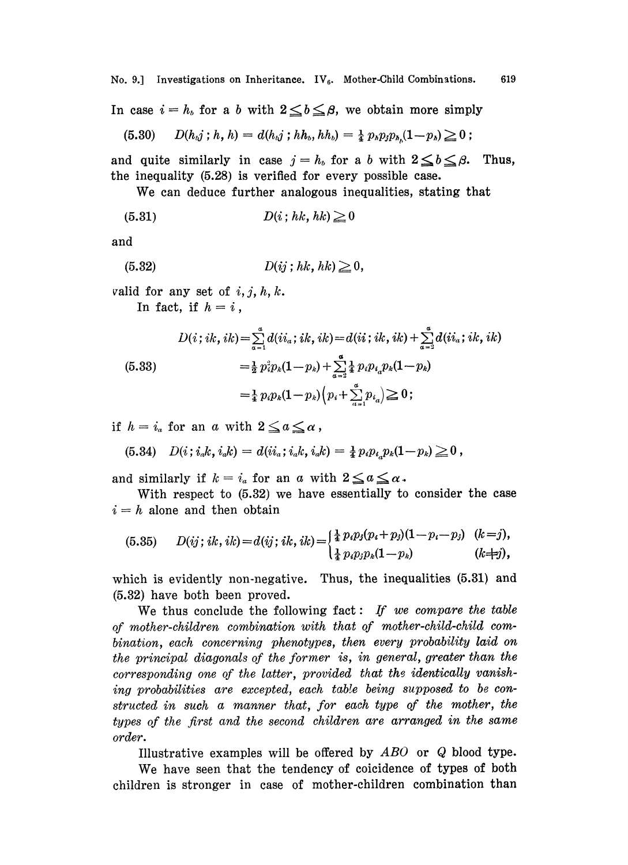No. 9.] Investigations on Inheritance.  $IV_6$ . Mother-Child Combinations. 619

No. 9.] Investigations on Inheritance. IV<sub>6</sub>. Mother-Child Combinations.<br>In case  $i = h_b$  for a b with  $2 \leq b \leq \beta$ , we obtain more simply case  $i = h_b$  for a b with  $2 \leq b \leq \beta$ , we obtain more sim.<br>(5.30)  $D(h_a j; h, h) = d(h_a j; h h_b, h h_b) = \frac{1}{4} p_a p_j p_{h_a} (1-p_a) \geq 0$ 

$$
(5.30) \qquad D(h_{\iota j} \,;\, h\,,\, h) = d(h_{\iota j} \,;\, h h_{\iota},\, h h_{\iota}) = \tfrac{1}{4} p_{\iota} p_{j} p_{\iota_{\iota}} (1-p_{\iota}) \geq 0 \,;
$$

and quite similarly in case  $j=h_b$  for a b with  $2\leq b\leq\beta$ . Thus, the inequality (5.28) is verified for every possible case.

We can deduce further analogous inequalities, stating that<br>  $D(i; hk, hk) \geq 0$ 

$$
(5.31) \t\t D(i; hk, hk) \ge 0
$$

and

$$
(5.32) \t\t D(ij; hk, hk) \geq 0,
$$

valid for any set of  $i, j, h, k$ .

In fact, if  $h=i$ ,

$$
D(i; ik, ik) = \sum_{\alpha=1}^{a} d(ii_{\alpha}; ik, ik) = d(ii; ik, ik) + \sum_{\alpha=2}^{a} d(ii_{\alpha}; ik, ik)
$$
  
\n(5.33)  
\n
$$
= \frac{1}{2} p_i^2 p_k (1 - p_k) + \sum_{\alpha=2}^{a} \frac{1}{4} p_i p_i p_k (1 - p_k)
$$
  
\n
$$
= \frac{1}{4} p_i p_k (1 - p_k) (p_i + \sum_{\alpha=1}^{a} p_{i_\alpha}) \ge 0;
$$

if  $h=i_a$  for an a with  $2\leq a\leq a$ ,

(5.34) 
$$
D(i; i_a k, i_a k) = d(i i_a; i_a k, i_a k) = \frac{1}{4} p_i p_{i_a} p_k (1-p_k) \ge 0
$$
,  
and similarly if  $k = i_a$  for an a with  $2 \le a \le a$ .

With respect to (5.32) we have essentially to consider the case  $i=h$  alone and then obtain

(5.35) 
$$
D(ij; ik, ik) = d(ij; ik, ik) = \begin{cases} \frac{1}{4} p_i p_j (p_i + p_j) (1 - p_i - p_j) & (k = j), \\ \frac{1}{4} p_i p_j p_k (1 - p_k) & (k = j), \end{cases}
$$

which is evidently non-negative. Thus, the inequalities  $(5.31)$  and (5.32) have both been proved.

We thus conclude the following fact: If we compare the table of mother-children combination with that of mother-child-child combination, each concerning phenotypes, then every probability laid on the principal diagonals of the former is, in general, greater than the corresponding one of the latter, provided that the identically vanishing probabilities are excepted, each table being supposed to be constructed in such a manner that, for each type of the mother, the types of the first and the second children are arranged in the same order.

Illustrative examples will be offered by  $ABO$  or  $Q$  blood type.

We have seen that the tendency of coicidence of types of both children is stronger in case of mother-children combination than